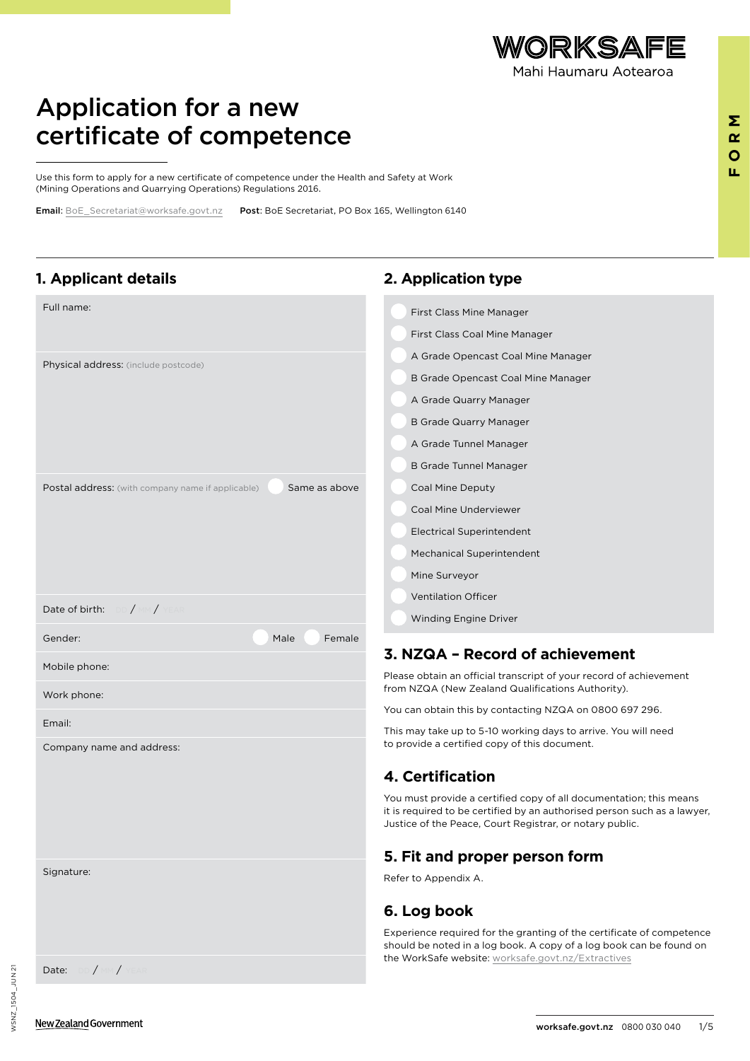

**FORM**

 $\Sigma$  $\underline{\alpha}$  $\bullet$ u.

## Application for a new certificate of competence

Use this form to apply for a new certificate of competence under the Health and Safety at Work (Mining Operations and Quarrying Operations) Regulations 2016.

Email: [BoE\\_Secretariat@worksafe.govt.nz](mailto:BoE_Secretariat%40worksafe.govt.nz?subject=Application%20for%20a%20new%20certificate%20of%20competence)  Post: BoE Secretariat, PO Box 165, Wellington 6140

### **1. Applicant details**

| Full name:                                                                | First Class Mine Manager                                                                                                                                                                                   |
|---------------------------------------------------------------------------|------------------------------------------------------------------------------------------------------------------------------------------------------------------------------------------------------------|
|                                                                           | <b>First Class Coal Mine Manager</b>                                                                                                                                                                       |
| Physical address: (include postcode)                                      | A Grade Opencast Coal Mine Manager                                                                                                                                                                         |
|                                                                           | B Grade Opencast Coal Mine Manager                                                                                                                                                                         |
|                                                                           | A Grade Quarry Manager                                                                                                                                                                                     |
|                                                                           | <b>B Grade Quarry Manager</b>                                                                                                                                                                              |
|                                                                           | A Grade Tunnel Manager                                                                                                                                                                                     |
|                                                                           | <b>B Grade Tunnel Manager</b>                                                                                                                                                                              |
| Same as above<br><b>Postal address:</b> (with company name if applicable) | Coal Mine Deputy                                                                                                                                                                                           |
|                                                                           | Coal Mine Underviewer                                                                                                                                                                                      |
|                                                                           | <b>Electrical Superintendent</b>                                                                                                                                                                           |
|                                                                           | Mechanical Superintendent                                                                                                                                                                                  |
|                                                                           | Mine Surveyor                                                                                                                                                                                              |
| Date of birth: DD / MM / YEAR                                             | <b>Ventilation Officer</b>                                                                                                                                                                                 |
|                                                                           | Winding Engine Driver                                                                                                                                                                                      |
| Gender:<br>Male<br>Female                                                 | 3. NZQA - Record of achievement                                                                                                                                                                            |
| Mobile phone:<br>Work phone:                                              | Please obtain an official transcript of your record of achievement<br>from NZQA (New Zealand Qualifications Authority).                                                                                    |
|                                                                           | You can obtain this by contacting NZQA on 0800 697 296.                                                                                                                                                    |
| Email:<br>Company name and address:                                       | This may take up to 5-10 working days to arrive. You will need<br>to provide a certified copy of this document.                                                                                            |
|                                                                           | 4. Certification                                                                                                                                                                                           |
|                                                                           | You must provide a certified copy of all documentation; this means<br>it is required to be certified by an authorised person such as a lawyer,<br>Justice of the Peace, Court Registrar, or notary public. |
|                                                                           | 5. Fit and proper person form                                                                                                                                                                              |
| Signature:                                                                | Refer to Appendix A.                                                                                                                                                                                       |
|                                                                           | 6. Log book                                                                                                                                                                                                |
|                                                                           | Experience required for the granting of the certificate of competence<br>should be noted in a log book. A copy of a log book can be found on<br>the WorkSafe website: worksafe.govt.nz/Extractives         |
| Date: DD / MM / YEAR                                                      |                                                                                                                                                                                                            |

**2. Application type**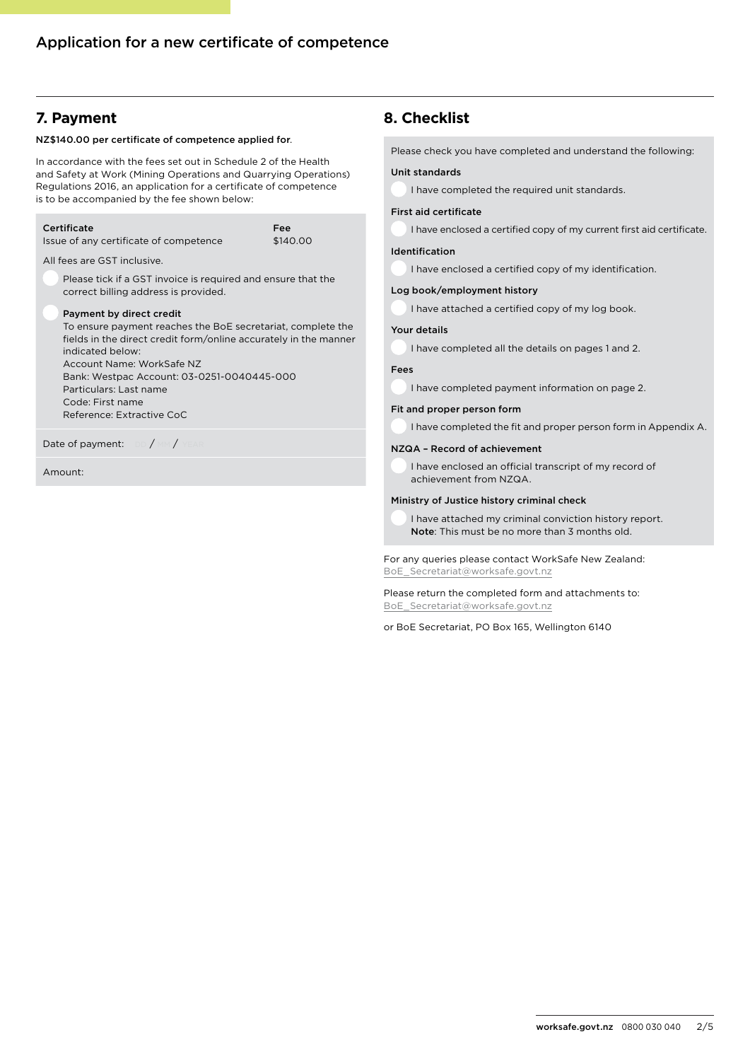## **7. Payment**

#### NZ\$140.00 per certificate of competence applied for.

In accordance with the fees set out in Schedule 2 of the Health and Safety at Work (Mining Operations and Quarrying Operations) Regulations 2016, an application for a certificate of competence is to be accompanied by the fee shown below:

| Certificate<br>Issue of any certificate of competence                                                                                                                                                                                                                                                                                 | Fee<br>\$140.00 |
|---------------------------------------------------------------------------------------------------------------------------------------------------------------------------------------------------------------------------------------------------------------------------------------------------------------------------------------|-----------------|
| All fees are GST inclusive.<br>Please tick if a GST invoice is required and ensure that the<br>correct billing address is provided.                                                                                                                                                                                                   |                 |
| Payment by direct credit<br>To ensure payment reaches the BoE secretariat, complete the<br>fields in the direct credit form/online accurately in the manner<br>indicated below:<br>Account Name: WorkSafe NZ<br>Bank: Westpac Account: 03-0251-0040445-000<br>Particulars: Last name<br>Code: First name<br>Reference: Extractive CoC |                 |
| Date of payment: $\Box$ DD / MM / YEAR                                                                                                                                                                                                                                                                                                |                 |

Amount:

## **8. Checklist**

Please check you have completed and understand the following:

#### Unit standards

I have completed the required unit standards.

#### First aid certificate

I have enclosed a certified copy of my current first aid certificate.

#### Identification

I have enclosed a certified copy of my identification.

#### Log book/employment history

I have attached a certified copy of my log book.

#### Your details

I have completed all the details on pages 1 and 2.

#### Fees

I have completed payment information on page 2.

#### Fit and proper person form

I have completed the fit and proper person form in Appendix A.

#### NZQA – Record of achievement

I have enclosed an official transcript of my record of achievement from NZQA.

#### Ministry of Justice history criminal check

I have attached my criminal conviction history report. Note: This must be no more than 3 months old.

For any queries please contact WorkSafe New Zealand: [BoE\\_Secretariat@worksafe.govt.nz](mailto:BoE_Secretariat%40worksafe.govt.nz?subject=Application%20for%20a%20new%20certificate%20of%20competence)

Please return the completed form and attachments to: [BoE\\_Secretariat@worksafe.govt.nz](mailto:BoE_Secretariat%40worksafe.govt.nz?subject=Application%20for%20a%20new%20certificate%20of%20competence)

or BoE Secretariat, PO Box 165, Wellington 6140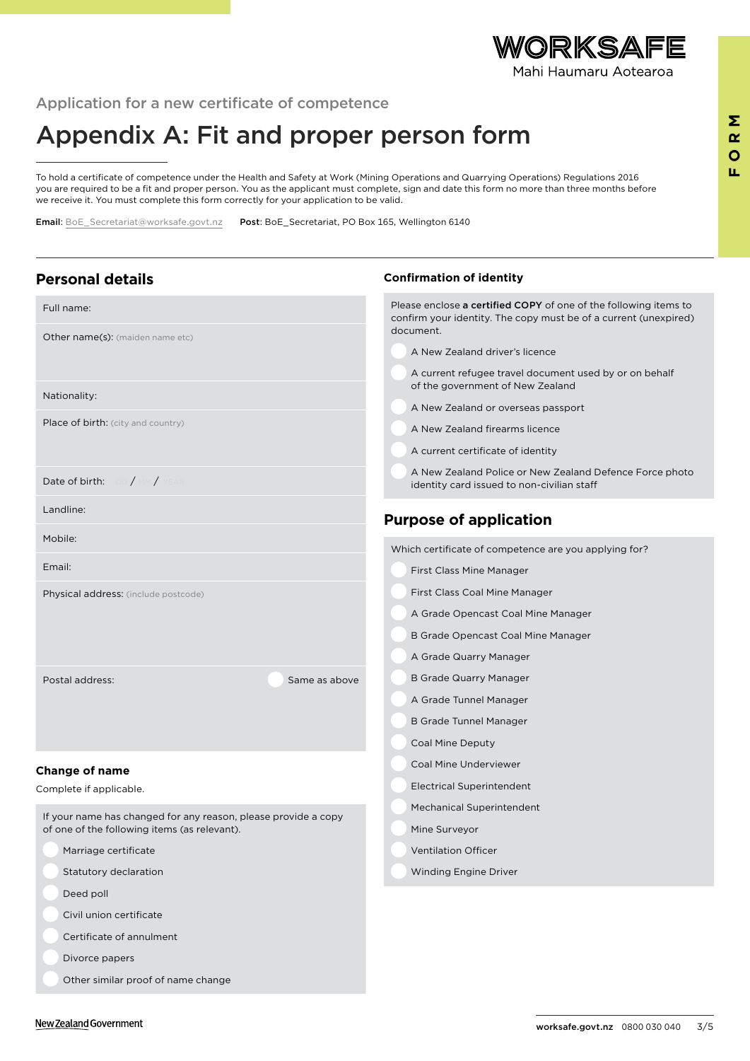

## Application for a new certificate of competence

# Appendix A: Fit and proper person form

To hold a certificate of competence under the Health and Safety at Work (Mining Operations and Quarrying Operations) Regulations 2016 you are required to be a fit and proper person. You as the applicant must complete, sign and date this form no more than three months before we receive it. You must complete this form correctly for your application to be valid.

Email: [BoE\\_Secretariat@worksafe.govt.nz](mailto:BoE_Secretariat%40worksafe.govt.nz?subject=Application%20for%20a%20new%20certificate%20of%20competence)  Post: BoE\_Secretariat, PO Box 165, Wellington 6140

| <b>Personal details</b>                                                                                        | <b>Confirmation of identity</b>                                                                                                                   |
|----------------------------------------------------------------------------------------------------------------|---------------------------------------------------------------------------------------------------------------------------------------------------|
| Full name:                                                                                                     | Please enclose a certified COPY of one of the following items to<br>confirm your identity. The copy must be of a current (unexpired)<br>document. |
| Other name(s): (maiden name etc)                                                                               | A New Zealand driver's licence                                                                                                                    |
|                                                                                                                | A current refugee travel document used by or on behalf<br>of the government of New Zealand                                                        |
| Nationality:                                                                                                   | A New Zealand or overseas passport                                                                                                                |
| Place of birth: (city and country)                                                                             | A New Zealand firearms licence                                                                                                                    |
|                                                                                                                | A current certificate of identity                                                                                                                 |
| Date of birth: DD / MM / YEAR                                                                                  | A New Zealand Police or New Zealand Defence Force photo<br>identity card issued to non-civilian staff                                             |
| Landline:                                                                                                      | <b>Purpose of application</b>                                                                                                                     |
| Mobile:                                                                                                        | Which certificate of competence are you applying for?                                                                                             |
| Email:                                                                                                         | First Class Mine Manager                                                                                                                          |
| Physical address: (include postcode)                                                                           | <b>First Class Coal Mine Manager</b>                                                                                                              |
|                                                                                                                | A Grade Opencast Coal Mine Manager                                                                                                                |
|                                                                                                                | B Grade Opencast Coal Mine Manager                                                                                                                |
|                                                                                                                | A Grade Quarry Manager                                                                                                                            |
| Postal address:<br>Same as above                                                                               | <b>B Grade Quarry Manager</b>                                                                                                                     |
|                                                                                                                | A Grade Tunnel Manager                                                                                                                            |
|                                                                                                                | <b>B Grade Tunnel Manager</b>                                                                                                                     |
|                                                                                                                | Coal Mine Deputy                                                                                                                                  |
| Change of name                                                                                                 | Coal Mine Underviewer<br><b>Electrical Superintendent</b>                                                                                         |
| Complete if applicable.                                                                                        | <b>Mechanical Superintendent</b>                                                                                                                  |
| If your name has changed for any reason, please provide a copy<br>of one of the following items (as relevant). | Mine Surveyor                                                                                                                                     |
| Marriage certificate                                                                                           | <b>Ventilation Officer</b>                                                                                                                        |
| Statutory declaration                                                                                          | Winding Engine Driver                                                                                                                             |
| Deed poll                                                                                                      |                                                                                                                                                   |
| Civil union certificate                                                                                        |                                                                                                                                                   |
| Certificate of annulment                                                                                       |                                                                                                                                                   |
| Divorce papers                                                                                                 |                                                                                                                                                   |
| Other similar proof of name change                                                                             |                                                                                                                                                   |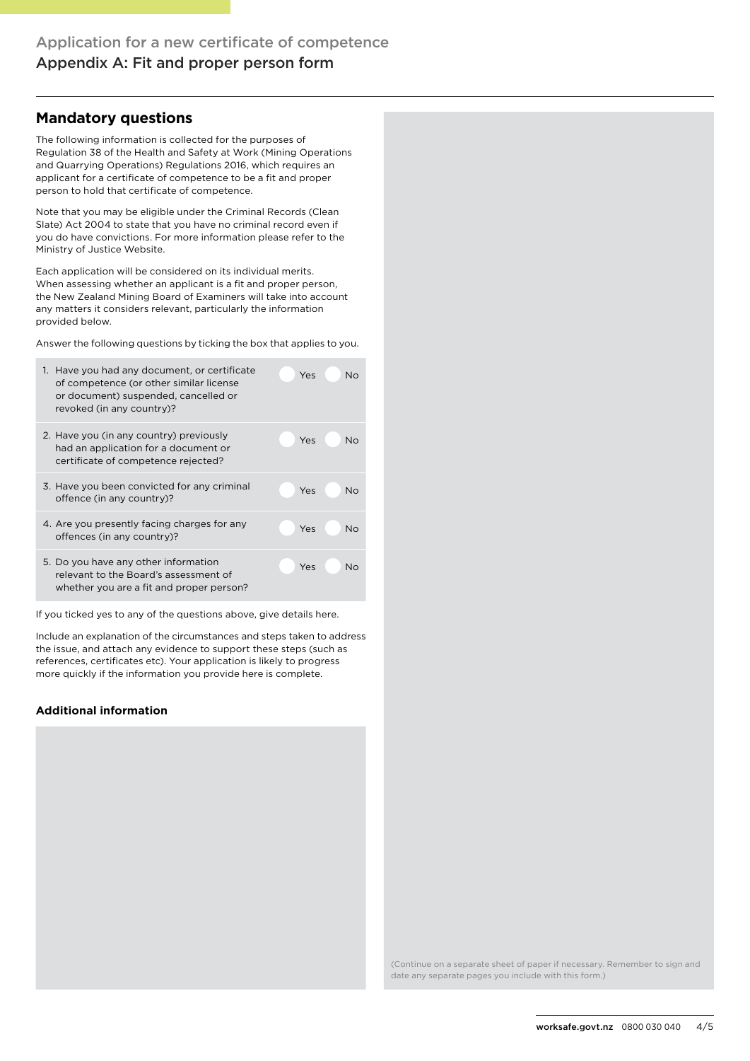## **Mandatory questions**

The following information is collected for the purposes of Regulation 38 of the Health and Safety at Work (Mining Operations and Quarrying Operations) Regulations 2016, which requires an applicant for a certificate of competence to be a fit and proper person to hold that certificate of competence.

Note that you may be eligible under the Criminal Records (Clean Slate) Act 2004 to state that you have no criminal record even if you do have convictions. For more information please refer to the Ministry of Justice Website.

Each application will be considered on its individual merits. When assessing whether an applicant is a fit and proper person, the New Zealand Mining Board of Examiners will take into account any matters it considers relevant, particularly the information provided below.

Answer the following questions by ticking the box that applies to you.

| Have you had any document, or certificate<br>1.<br>of competence (or other similar license<br>or document) suspended, cancelled or<br>revoked (in any country)? | Yes<br>N٥ |
|-----------------------------------------------------------------------------------------------------------------------------------------------------------------|-----------|
| 2. Have you (in any country) previously<br>had an application for a document or<br>certificate of competence rejected?                                          | Yes<br>No |
| 3. Have you been convicted for any criminal<br>offence (in any country)?                                                                                        | Yes<br>N٥ |
| 4. Are you presently facing charges for any<br>offences (in any country)?                                                                                       | Yes<br>N٥ |
| 5. Do you have any other information<br>relevant to the Board's assessment of<br>whether you are a fit and proper person?                                       | Yes<br>Nο |

If you ticked yes to any of the questions above, give details here.

Include an explanation of the circumstances and steps taken to address the issue, and attach any evidence to support these steps (such as references, certificates etc). Your application is likely to progress more quickly if the information you provide here is complete.

#### **Additional information**

(Continue on a separate sheet of paper if necessary. Remember to sign and date any separate pages you include with this form.)